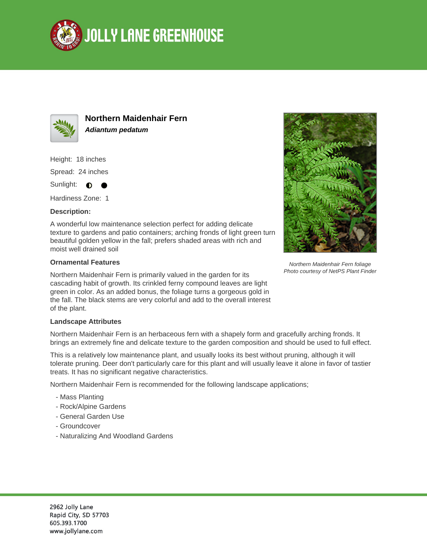



**Northern Maidenhair Fern Adiantum pedatum**

Height: 18 inches

Spread: 24 inches

Sunlight:  $\bullet$ 

Hardiness Zone: 1

## **Description:**

A wonderful low maintenance selection perfect for adding delicate texture to gardens and patio containers; arching fronds of light green turn beautiful golden yellow in the fall; prefers shaded areas with rich and moist well drained soil

## **Ornamental Features**

Northern Maidenhair Fern is primarily valued in the garden for its cascading habit of growth. Its crinkled ferny compound leaves are light green in color. As an added bonus, the foliage turns a gorgeous gold in the fall. The black stems are very colorful and add to the overall interest of the plant.



Northern Maidenhair Fern foliage Photo courtesy of NetPS Plant Finder

## **Landscape Attributes**

Northern Maidenhair Fern is an herbaceous fern with a shapely form and gracefully arching fronds. It brings an extremely fine and delicate texture to the garden composition and should be used to full effect.

This is a relatively low maintenance plant, and usually looks its best without pruning, although it will tolerate pruning. Deer don't particularly care for this plant and will usually leave it alone in favor of tastier treats. It has no significant negative characteristics.

Northern Maidenhair Fern is recommended for the following landscape applications;

- Mass Planting
- Rock/Alpine Gardens
- General Garden Use
- Groundcover
- Naturalizing And Woodland Gardens